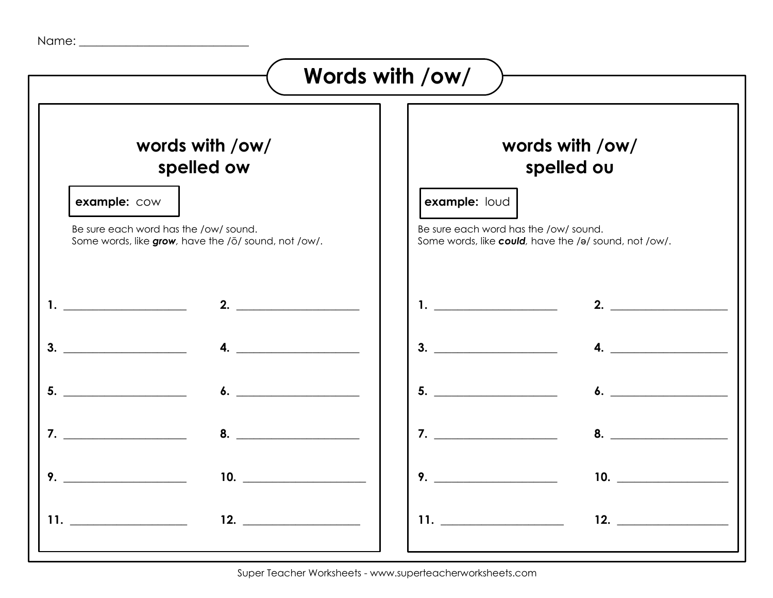